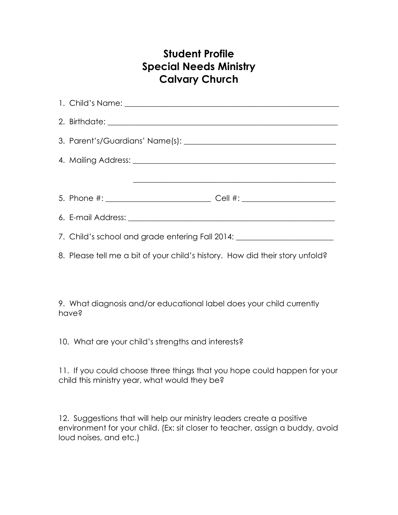## **Student Profile Special Needs Ministry Calvary Church**

| 7. Child's school and grade entering Fall 2014: ________________________________ |  |
|----------------------------------------------------------------------------------|--|
| 8. Please tell me a bit of your child's history. How did their story unfold?     |  |

9. What diagnosis and/or educational label does your child currently have?

10. What are your child's strengths and interests?

11. If you could choose three things that you hope could happen for your child this ministry year, what would they be?

12. Suggestions that will help our ministry leaders create a positive environment for your child. (Ex: sit closer to teacher, assign a buddy, avoid loud noises, and etc.)